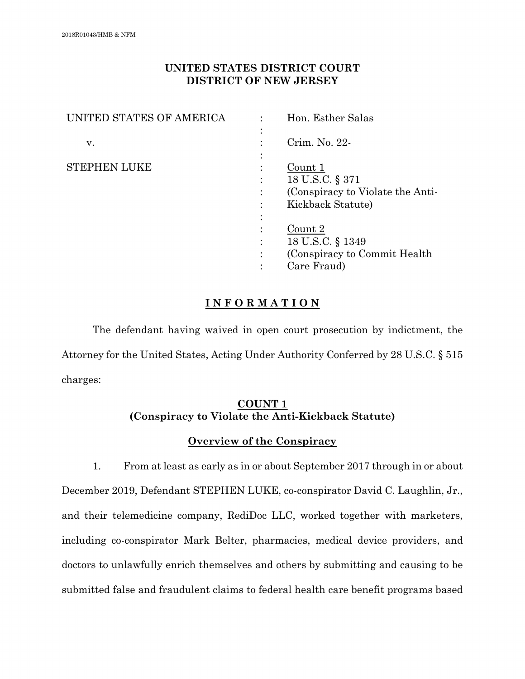# **UNITED STATES DISTRICT COURT DISTRICT OF NEW JERSEY**

| UNITED STATES OF AMERICA |   | Hon. Esther Salas                |
|--------------------------|---|----------------------------------|
|                          |   |                                  |
| V.                       |   | Crim. No. 22-                    |
|                          |   |                                  |
| <b>STEPHEN LUKE</b>      |   | Count 1                          |
|                          |   | 18 U.S.C. § 371                  |
|                          |   | (Conspiracy to Violate the Anti- |
|                          |   | Kickback Statute)                |
|                          |   |                                  |
|                          |   | Count 2                          |
|                          |   | 18 U.S.C. § 1349                 |
|                          | ٠ | (Conspiracy to Commit Health)    |
|                          |   | Care Fraud)                      |

# **I N F O R M A T I O N**

The defendant having waived in open court prosecution by indictment, the Attorney for the United States, Acting Under Authority Conferred by 28 U.S.C. § 515 charges:

# **COUNT 1 (Conspiracy to Violate the Anti-Kickback Statute)**

# **Overview of the Conspiracy**

1. From at least as early as in or about September 2017 through in or about December 2019, Defendant STEPHEN LUKE, co-conspirator David C. Laughlin, Jr., and their telemedicine company, RediDoc LLC, worked together with marketers, including co-conspirator Mark Belter, pharmacies, medical device providers, and doctors to unlawfully enrich themselves and others by submitting and causing to be submitted false and fraudulent claims to federal health care benefit programs based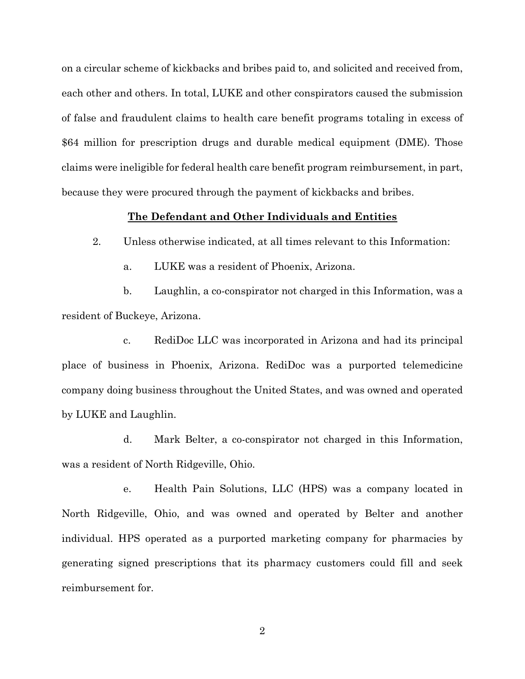on a circular scheme of kickbacks and bribes paid to, and solicited and received from, each other and others. In total, LUKE and other conspirators caused the submission of false and fraudulent claims to health care benefit programs totaling in excess of \$64 million for prescription drugs and durable medical equipment (DME). Those claims were ineligible for federal health care benefit program reimbursement, in part, because they were procured through the payment of kickbacks and bribes.

## **The Defendant and Other Individuals and Entities**

2. Unless otherwise indicated, at all times relevant to this Information:

a. LUKE was a resident of Phoenix, Arizona.

b. Laughlin, a co-conspirator not charged in this Information, was a resident of Buckeye, Arizona.

c. RediDoc LLC was incorporated in Arizona and had its principal place of business in Phoenix, Arizona. RediDoc was a purported telemedicine company doing business throughout the United States, and was owned and operated by LUKE and Laughlin.

d. Mark Belter, a co-conspirator not charged in this Information, was a resident of North Ridgeville, Ohio.

e. Health Pain Solutions, LLC (HPS) was a company located in North Ridgeville, Ohio, and was owned and operated by Belter and another individual. HPS operated as a purported marketing company for pharmacies by generating signed prescriptions that its pharmacy customers could fill and seek reimbursement for.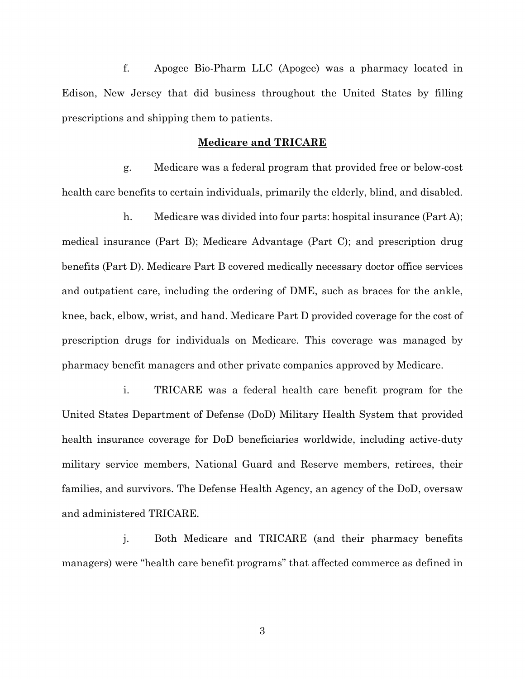f. Apogee Bio-Pharm LLC (Apogee) was a pharmacy located in Edison, New Jersey that did business throughout the United States by filling prescriptions and shipping them to patients.

## **Medicare and TRICARE**

g. Medicare was a federal program that provided free or below-cost health care benefits to certain individuals, primarily the elderly, blind, and disabled.

h. Medicare was divided into four parts: hospital insurance (Part A); medical insurance (Part B); Medicare Advantage (Part C); and prescription drug benefits (Part D). Medicare Part B covered medically necessary doctor office services and outpatient care, including the ordering of DME, such as braces for the ankle, knee, back, elbow, wrist, and hand. Medicare Part D provided coverage for the cost of prescription drugs for individuals on Medicare. This coverage was managed by pharmacy benefit managers and other private companies approved by Medicare.

i. TRICARE was a federal health care benefit program for the United States Department of Defense (DoD) Military Health System that provided health insurance coverage for DoD beneficiaries worldwide, including active-duty military service members, National Guard and Reserve members, retirees, their families, and survivors. The Defense Health Agency, an agency of the DoD, oversaw and administered TRICARE.

j. Both Medicare and TRICARE (and their pharmacy benefits managers) were "health care benefit programs" that affected commerce as defined in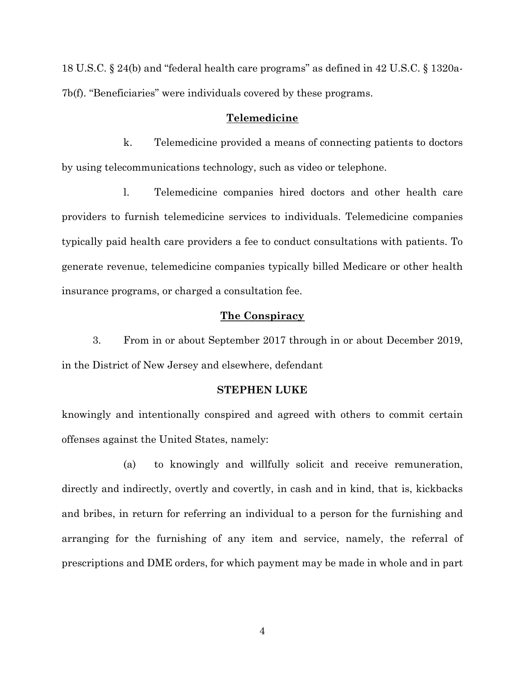18 U.S.C. § 24(b) and "federal health care programs" as defined in 42 U.S.C. § 1320a-7b(f). "Beneficiaries" were individuals covered by these programs.

## **Telemedicine**

k. Telemedicine provided a means of connecting patients to doctors by using telecommunications technology, such as video or telephone.

l. Telemedicine companies hired doctors and other health care providers to furnish telemedicine services to individuals. Telemedicine companies typically paid health care providers a fee to conduct consultations with patients. To generate revenue, telemedicine companies typically billed Medicare or other health insurance programs, or charged a consultation fee.

## **The Conspiracy**

3. From in or about September 2017 through in or about December 2019, in the District of New Jersey and elsewhere, defendant

#### **STEPHEN LUKE**

knowingly and intentionally conspired and agreed with others to commit certain offenses against the United States, namely:

(a) to knowingly and willfully solicit and receive remuneration, directly and indirectly, overtly and covertly, in cash and in kind, that is, kickbacks and bribes, in return for referring an individual to a person for the furnishing and arranging for the furnishing of any item and service, namely, the referral of prescriptions and DME orders, for which payment may be made in whole and in part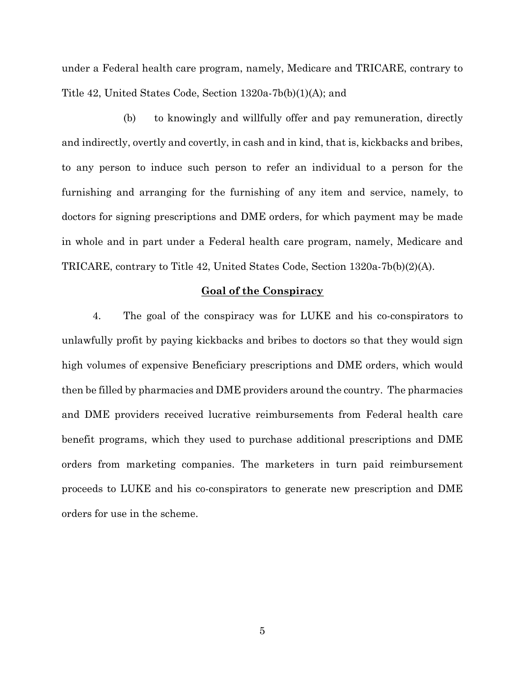under a Federal health care program, namely, Medicare and TRICARE, contrary to Title 42, United States Code, Section 1320a-7b(b)(1)(A); and

(b) to knowingly and willfully offer and pay remuneration, directly and indirectly, overtly and covertly, in cash and in kind, that is, kickbacks and bribes, to any person to induce such person to refer an individual to a person for the furnishing and arranging for the furnishing of any item and service, namely, to doctors for signing prescriptions and DME orders, for which payment may be made in whole and in part under a Federal health care program, namely, Medicare and TRICARE, contrary to Title 42, United States Code, Section 1320a-7b(b)(2)(A).

## **Goal of the Conspiracy**

4. The goal of the conspiracy was for LUKE and his co-conspirators to unlawfully profit by paying kickbacks and bribes to doctors so that they would sign high volumes of expensive Beneficiary prescriptions and DME orders, which would then be filled by pharmacies and DME providers around the country. The pharmacies and DME providers received lucrative reimbursements from Federal health care benefit programs, which they used to purchase additional prescriptions and DME orders from marketing companies. The marketers in turn paid reimbursement proceeds to LUKE and his co-conspirators to generate new prescription and DME orders for use in the scheme.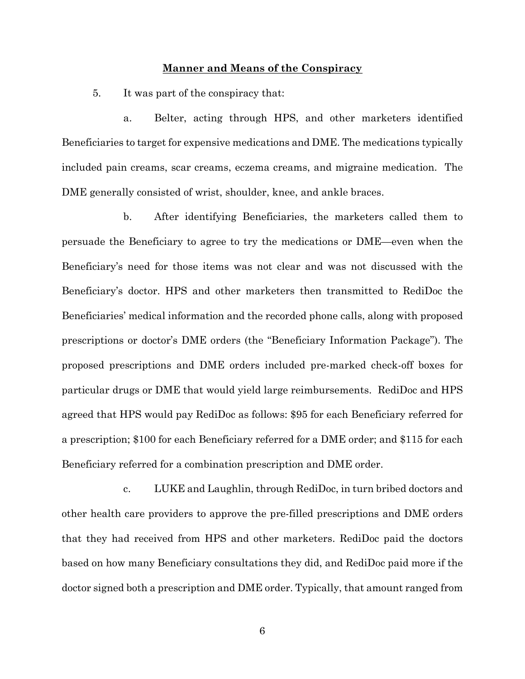## **Manner and Means of the Conspiracy**

5. It was part of the conspiracy that:

a. Belter, acting through HPS, and other marketers identified Beneficiaries to target for expensive medications and DME. The medications typically included pain creams, scar creams, eczema creams, and migraine medication. The DME generally consisted of wrist, shoulder, knee, and ankle braces.

b. After identifying Beneficiaries, the marketers called them to persuade the Beneficiary to agree to try the medications or DME—even when the Beneficiary's need for those items was not clear and was not discussed with the Beneficiary's doctor. HPS and other marketers then transmitted to RediDoc the Beneficiaries' medical information and the recorded phone calls, along with proposed prescriptions or doctor's DME orders (the "Beneficiary Information Package"). The proposed prescriptions and DME orders included pre-marked check-off boxes for particular drugs or DME that would yield large reimbursements. RediDoc and HPS agreed that HPS would pay RediDoc as follows: \$95 for each Beneficiary referred for a prescription; \$100 for each Beneficiary referred for a DME order; and \$115 for each Beneficiary referred for a combination prescription and DME order.

c. LUKE and Laughlin, through RediDoc, in turn bribed doctors and other health care providers to approve the pre-filled prescriptions and DME orders that they had received from HPS and other marketers. RediDoc paid the doctors based on how many Beneficiary consultations they did, and RediDoc paid more if the doctor signed both a prescription and DME order. Typically, that amount ranged from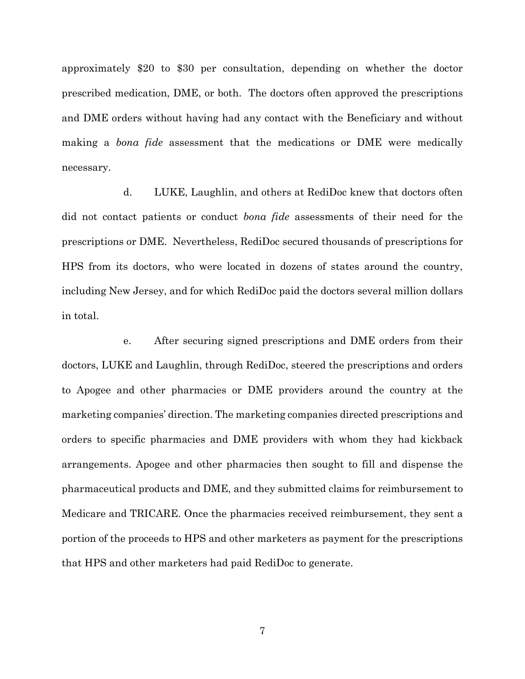approximately \$20 to \$30 per consultation, depending on whether the doctor prescribed medication, DME, or both. The doctors often approved the prescriptions and DME orders without having had any contact with the Beneficiary and without making a *bona fide* assessment that the medications or DME were medically necessary.

d. LUKE, Laughlin, and others at RediDoc knew that doctors often did not contact patients or conduct *bona fide* assessments of their need for the prescriptions or DME. Nevertheless, RediDoc secured thousands of prescriptions for HPS from its doctors, who were located in dozens of states around the country, including New Jersey, and for which RediDoc paid the doctors several million dollars in total.

e. After securing signed prescriptions and DME orders from their doctors, LUKE and Laughlin, through RediDoc, steered the prescriptions and orders to Apogee and other pharmacies or DME providers around the country at the marketing companies' direction. The marketing companies directed prescriptions and orders to specific pharmacies and DME providers with whom they had kickback arrangements. Apogee and other pharmacies then sought to fill and dispense the pharmaceutical products and DME, and they submitted claims for reimbursement to Medicare and TRICARE. Once the pharmacies received reimbursement, they sent a portion of the proceeds to HPS and other marketers as payment for the prescriptions that HPS and other marketers had paid RediDoc to generate.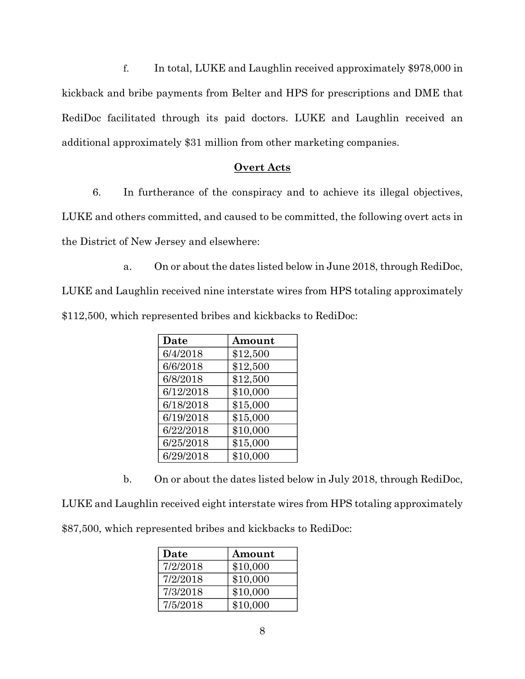f. In total, LUKE and Laughlin received approximately \$978,000 in kickback and bribe payments from Belter and HPS for prescriptions and DME that RediDoc facilitated through its paid doctors. LUKE and Laughlin received an additional approximately \$31 million from other marketing companies.

## **Overt Acts**

6. In furtherance of the conspiracy and to achieve its illegal objectives, LUKE and others committed, and caused to be committed, the following overt acts in the District of New Jersey and elsewhere:

a. On or about the dates listed below in June 2018, through RediDoc, LUKE and Laughlin received nine interstate wires from HPS totaling approximately \$112,500, which represented bribes and kickbacks to RediDoc:

| Date      | Amount   |
|-----------|----------|
| 6/4/2018  | \$12,500 |
| 6/6/2018  | \$12,500 |
| 6/8/2018  | \$12,500 |
| 6/12/2018 | \$10,000 |
| 6/18/2018 | \$15,000 |
| 6/19/2018 | \$15,000 |
| 6/22/2018 | \$10,000 |
| 6/25/2018 | \$15,000 |
| 6/29/2018 | \$10,000 |

b. On or about the dates listed below in July 2018, through RediDoc,

LUKE and Laughlin received eight interstate wires from HPS totaling approximately \$87,500, which represented bribes and kickbacks to RediDoc:

| Date     | Amount   |
|----------|----------|
| 7/2/2018 | \$10,000 |
| 7/2/2018 | \$10,000 |
| 7/3/2018 | \$10,000 |
| 7/5/2018 | \$10,000 |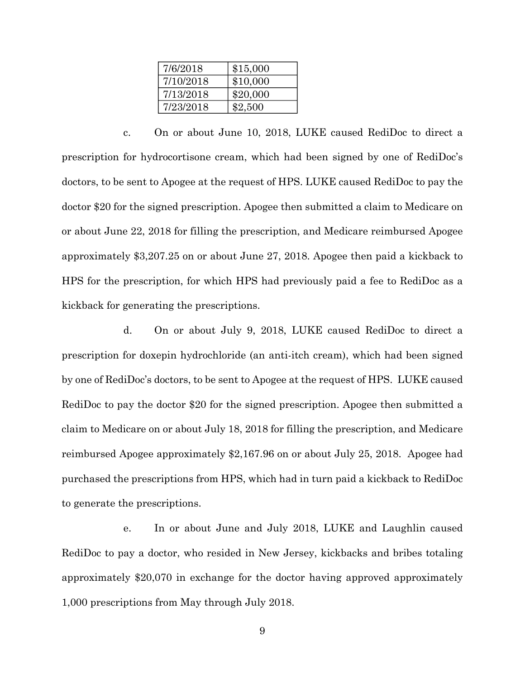| 7/6/2018  | \$15,000 |
|-----------|----------|
| 7/10/2018 | \$10,000 |
| 7/13/2018 | \$20,000 |
| 7/23/2018 | \$2,500  |

c. On or about June 10, 2018, LUKE caused RediDoc to direct a prescription for hydrocortisone cream, which had been signed by one of RediDoc's doctors, to be sent to Apogee at the request of HPS. LUKE caused RediDoc to pay the doctor \$20 for the signed prescription. Apogee then submitted a claim to Medicare on or about June 22, 2018 for filling the prescription, and Medicare reimbursed Apogee approximately \$3,207.25 on or about June 27, 2018. Apogee then paid a kickback to HPS for the prescription, for which HPS had previously paid a fee to RediDoc as a kickback for generating the prescriptions.

d. On or about July 9, 2018, LUKE caused RediDoc to direct a prescription for doxepin hydrochloride (an anti-itch cream), which had been signed by one of RediDoc's doctors, to be sent to Apogee at the request of HPS. LUKE caused RediDoc to pay the doctor \$20 for the signed prescription. Apogee then submitted a claim to Medicare on or about July 18, 2018 for filling the prescription, and Medicare reimbursed Apogee approximately \$2,167.96 on or about July 25, 2018. Apogee had purchased the prescriptions from HPS, which had in turn paid a kickback to RediDoc to generate the prescriptions.

e. In or about June and July 2018, LUKE and Laughlin caused RediDoc to pay a doctor, who resided in New Jersey, kickbacks and bribes totaling approximately \$20,070 in exchange for the doctor having approved approximately 1,000 prescriptions from May through July 2018.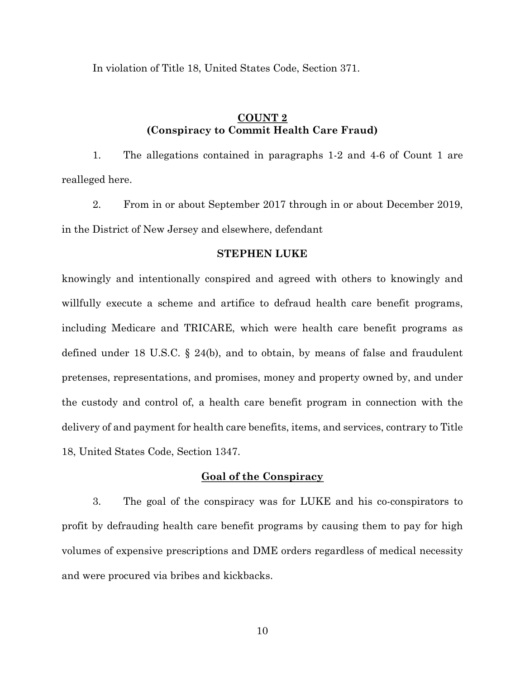In violation of Title 18, United States Code, Section 371.

## **COUNT 2 (Conspiracy to Commit Health Care Fraud)**

1. The allegations contained in paragraphs 1-2 and 4-6 of Count 1 are realleged here.

2. From in or about September 2017 through in or about December 2019, in the District of New Jersey and elsewhere, defendant

## **STEPHEN LUKE**

knowingly and intentionally conspired and agreed with others to knowingly and willfully execute a scheme and artifice to defraud health care benefit programs, including Medicare and TRICARE, which were health care benefit programs as defined under 18 U.S.C. § 24(b), and to obtain, by means of false and fraudulent pretenses, representations, and promises, money and property owned by, and under the custody and control of, a health care benefit program in connection with the delivery of and payment for health care benefits, items, and services, contrary to Title 18, United States Code, Section 1347.

## **Goal of the Conspiracy**

3. The goal of the conspiracy was for LUKE and his co-conspirators to profit by defrauding health care benefit programs by causing them to pay for high volumes of expensive prescriptions and DME orders regardless of medical necessity and were procured via bribes and kickbacks.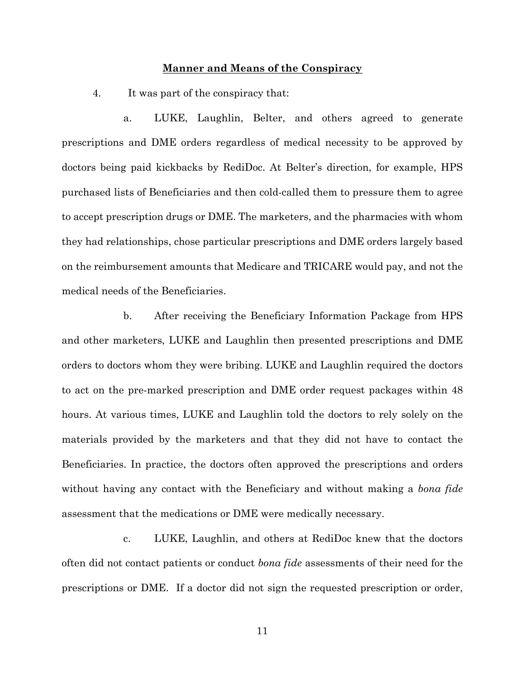## **Manner and Means of the Conspiracy**

4. It was part of the conspiracy that:

a. LUKE, Laughlin, Belter, and others agreed to generate prescriptions and DME orders regardless of medical necessity to be approved by doctors being paid kickbacks by RediDoc. At Belter's direction, for example, HPS purchased lists of Beneficiaries and then cold-called them to pressure them to agree to accept prescription drugs or DME. The marketers, and the pharmacies with whom they had relationships, chose particular prescriptions and DME orders largely based on the reimbursement amounts that Medicare and TRICARE would pay, and not the medical needs of the Beneficiaries.

b. After receiving the Beneficiary Information Package from HPS and other marketers, LUKE and Laughlin then presented prescriptions and DME orders to doctors whom they were bribing. LUKE and Laughlin required the doctors to act on the pre-marked prescription and DME order request packages within 48 hours. At various times, LUKE and Laughlin told the doctors to rely solely on the materials provided by the marketers and that they did not have to contact the Beneficiaries. In practice, the doctors often approved the prescriptions and orders without having any contact with the Beneficiary and without making a *bona fide* assessment that the medications or DME were medically necessary.

c. LUKE, Laughlin, and others at RediDoc knew that the doctors often did not contact patients or conduct *bona fide* assessments of their need for the prescriptions or DME. If a doctor did not sign the requested prescription or order,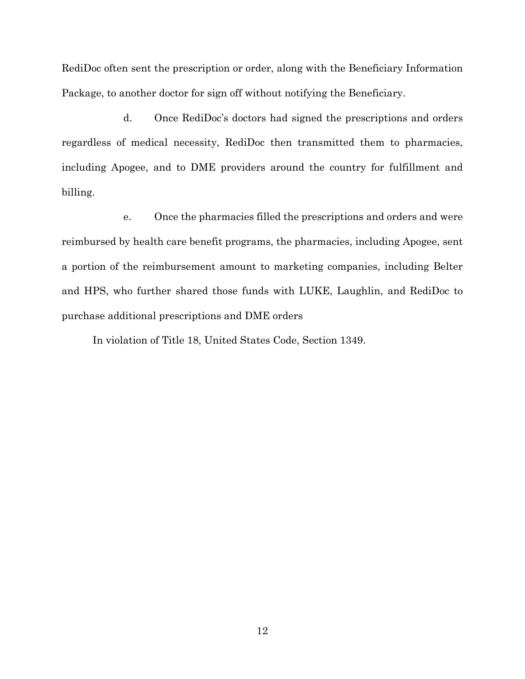RediDoc often sent the prescription or order, along with the Beneficiary Information Package, to another doctor for sign off without notifying the Beneficiary.

d. Once RediDoc's doctors had signed the prescriptions and orders regardless of medical necessity, RediDoc then transmitted them to pharmacies, including Apogee, and to DME providers around the country for fulfillment and billing.

e. Once the pharmacies filled the prescriptions and orders and were reimbursed by health care benefit programs, the pharmacies, including Apogee, sent a portion of the reimbursement amount to marketing companies, including Belter and HPS, who further shared those funds with LUKE, Laughlin, and RediDoc to purchase additional prescriptions and DME orders

In violation of Title 18, United States Code, Section 1349.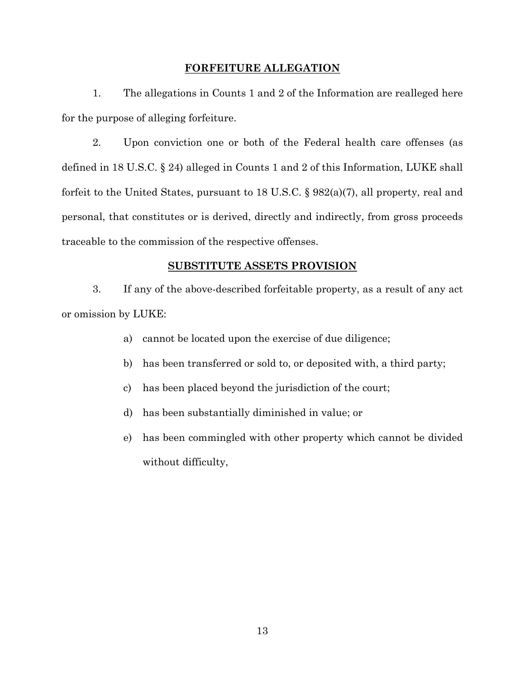## **FORFEITURE ALLEGATION**

1. The allegations in Counts 1 and 2 of the Information are realleged here for the purpose of alleging forfeiture.

2. Upon conviction one or both of the Federal health care offenses (as defined in 18 U.S.C. § 24) alleged in Counts 1 and 2 of this Information, LUKE shall forfeit to the United States, pursuant to 18 U.S.C. § 982(a)(7), all property, real and personal, that constitutes or is derived, directly and indirectly, from gross proceeds traceable to the commission of the respective offenses.

## **SUBSTITUTE ASSETS PROVISION**

3. If any of the above-described forfeitable property, as a result of any act or omission by LUKE:

- a) cannot be located upon the exercise of due diligence;
- b) has been transferred or sold to, or deposited with, a third party;
- c) has been placed beyond the jurisdiction of the court;
- d) has been substantially diminished in value; or
- e) has been commingled with other property which cannot be divided without difficulty,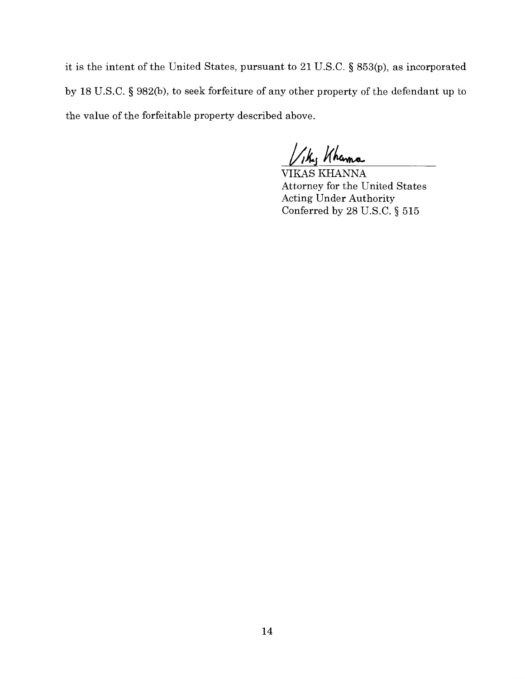it is the intent of the United States, pursuant to 21 U.S.C. § 853(p), as incorporated by 18 U.S.C. § 982(b), to seek forfeiture of any other property of the defendant up to the value of the forfeitable property described above.

the Khanna

VIKAS KHANNA Attorney for the United States Acting Under Authority Conferred by 28 U.S.C. § 515